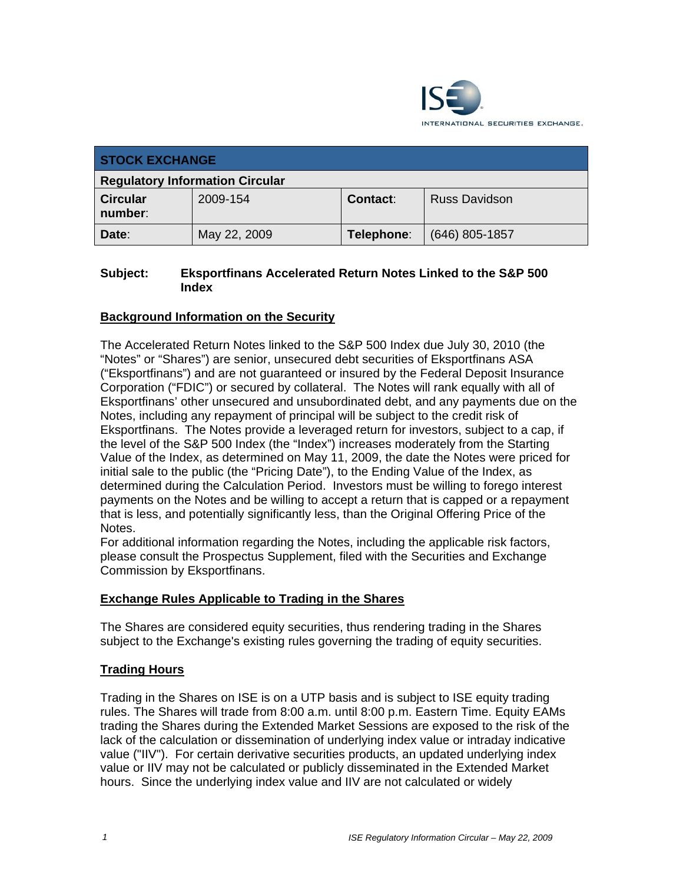

| <b>STOCK EXCHANGE</b>                  |              |            |                      |
|----------------------------------------|--------------|------------|----------------------|
| <b>Regulatory Information Circular</b> |              |            |                      |
| <b>Circular</b><br>number:             | 2009-154     | Contact:   | <b>Russ Davidson</b> |
| Date:                                  | May 22, 2009 | Telephone: | (646) 805-1857       |

# **Subject: Eksportfinans Accelerated Return Notes Linked to the S&P 500 Index**

# **Background Information on the Security**

The Accelerated Return Notes linked to the S&P 500 Index due July 30, 2010 (the "Notes" or "Shares") are senior, unsecured debt securities of Eksportfinans ASA ("Eksportfinans") and are not guaranteed or insured by the Federal Deposit Insurance Corporation ("FDIC") or secured by collateral. The Notes will rank equally with all of Eksportfinans' other unsecured and unsubordinated debt, and any payments due on the Notes, including any repayment of principal will be subject to the credit risk of Eksportfinans. The Notes provide a leveraged return for investors, subject to a cap, if the level of the S&P 500 Index (the "Index") increases moderately from the Starting Value of the Index, as determined on May 11, 2009, the date the Notes were priced for initial sale to the public (the "Pricing Date"), to the Ending Value of the Index, as determined during the Calculation Period. Investors must be willing to forego interest payments on the Notes and be willing to accept a return that is capped or a repayment that is less, and potentially significantly less, than the Original Offering Price of the Notes.

For additional information regarding the Notes, including the applicable risk factors, please consult the Prospectus Supplement, filed with the Securities and Exchange Commission by Eksportfinans.

### **Exchange Rules Applicable to Trading in the Shares**

The Shares are considered equity securities, thus rendering trading in the Shares subject to the Exchange's existing rules governing the trading of equity securities.

### **Trading Hours**

Trading in the Shares on ISE is on a UTP basis and is subject to ISE equity trading rules. The Shares will trade from 8:00 a.m. until 8:00 p.m. Eastern Time. Equity EAMs trading the Shares during the Extended Market Sessions are exposed to the risk of the lack of the calculation or dissemination of underlying index value or intraday indicative value ("IIV"). For certain derivative securities products, an updated underlying index value or IIV may not be calculated or publicly disseminated in the Extended Market hours. Since the underlying index value and IIV are not calculated or widely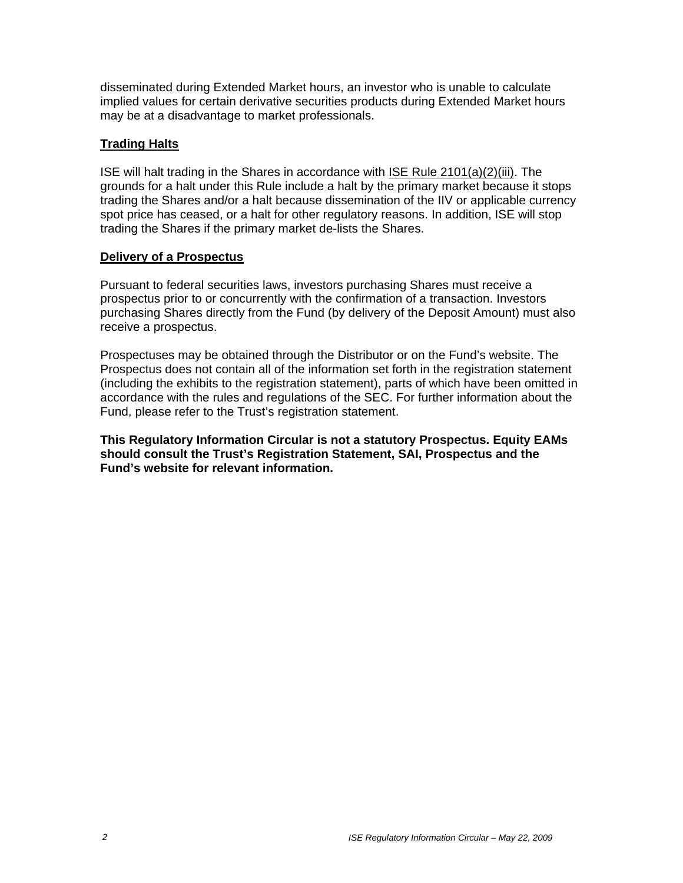disseminated during Extended Market hours, an investor who is unable to calculate implied values for certain derivative securities products during Extended Market hours may be at a disadvantage to market professionals.

# **Trading Halts**

ISE will halt trading in the Shares in accordance with ISE Rule 2101(a)(2)(iii). The grounds for a halt under this Rule include a halt by the primary market because it stops trading the Shares and/or a halt because dissemination of the IIV or applicable currency spot price has ceased, or a halt for other regulatory reasons. In addition, ISE will stop trading the Shares if the primary market de-lists the Shares.

### **Delivery of a Prospectus**

Pursuant to federal securities laws, investors purchasing Shares must receive a prospectus prior to or concurrently with the confirmation of a transaction. Investors purchasing Shares directly from the Fund (by delivery of the Deposit Amount) must also receive a prospectus.

Prospectuses may be obtained through the Distributor or on the Fund's website. The Prospectus does not contain all of the information set forth in the registration statement (including the exhibits to the registration statement), parts of which have been omitted in accordance with the rules and regulations of the SEC. For further information about the Fund, please refer to the Trust's registration statement.

**This Regulatory Information Circular is not a statutory Prospectus. Equity EAMs should consult the Trust's Registration Statement, SAI, Prospectus and the Fund's website for relevant information.**